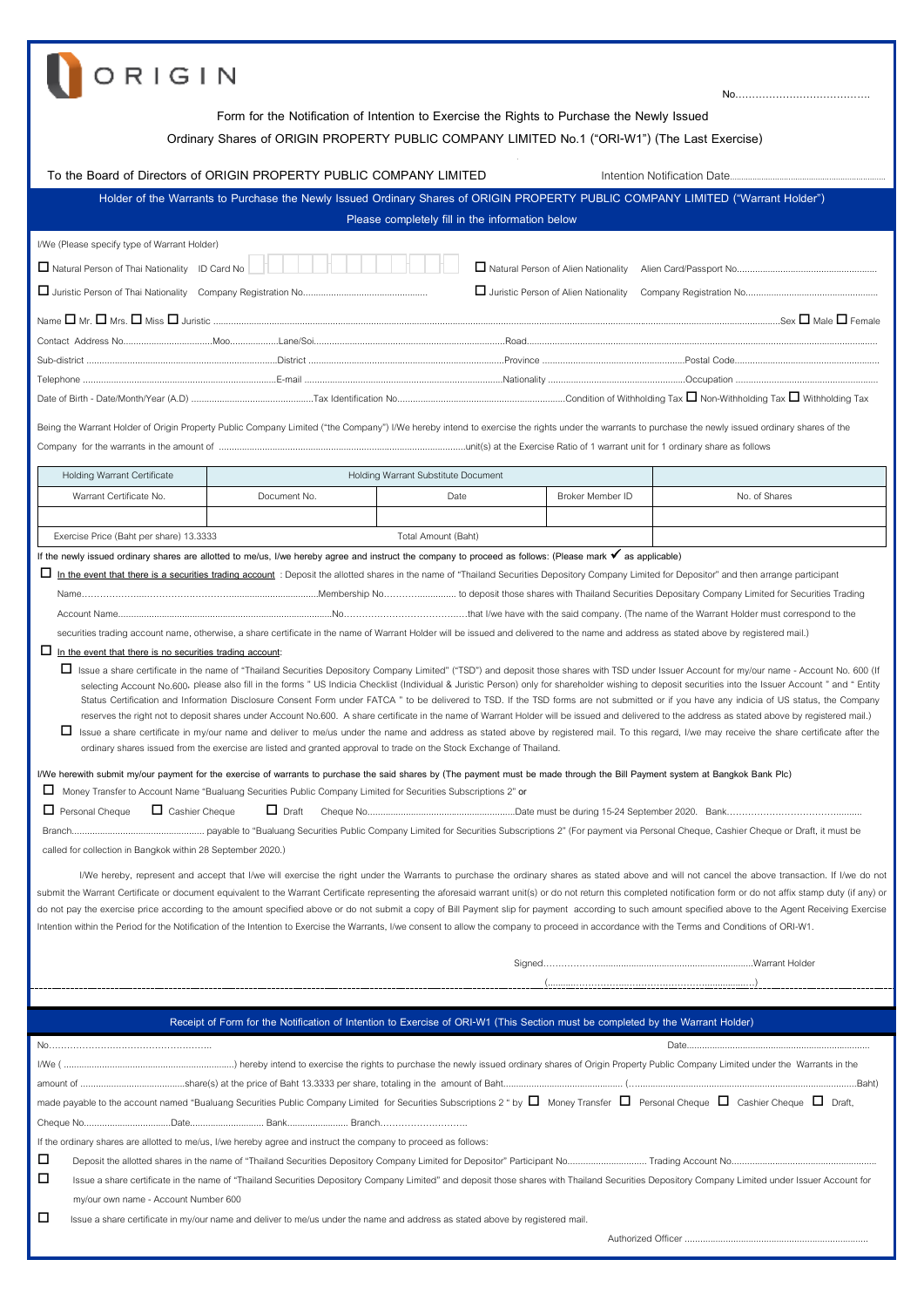| <b>DRIGIN</b>                                                                                                                                                                                                                                                                                                                                                                                                                                                                                                                                                                                                                                                                                                                                                                                                                                                                                                                                                                                                                                                                                                                                                                                                                                                                                                                                                                                                                                                                                                                                                                                                                                                                                                                                                                                                                                                                                                                                                                                                                                                                                                                                                                                                                                                                                                                                                                                                                                                                                                                                                                                                                                                                                |                                                                                                                                |                                                 |                  |                                                                                                                                                                                                    |  |  |
|----------------------------------------------------------------------------------------------------------------------------------------------------------------------------------------------------------------------------------------------------------------------------------------------------------------------------------------------------------------------------------------------------------------------------------------------------------------------------------------------------------------------------------------------------------------------------------------------------------------------------------------------------------------------------------------------------------------------------------------------------------------------------------------------------------------------------------------------------------------------------------------------------------------------------------------------------------------------------------------------------------------------------------------------------------------------------------------------------------------------------------------------------------------------------------------------------------------------------------------------------------------------------------------------------------------------------------------------------------------------------------------------------------------------------------------------------------------------------------------------------------------------------------------------------------------------------------------------------------------------------------------------------------------------------------------------------------------------------------------------------------------------------------------------------------------------------------------------------------------------------------------------------------------------------------------------------------------------------------------------------------------------------------------------------------------------------------------------------------------------------------------------------------------------------------------------------------------------------------------------------------------------------------------------------------------------------------------------------------------------------------------------------------------------------------------------------------------------------------------------------------------------------------------------------------------------------------------------------------------------------------------------------------------------------------------------|--------------------------------------------------------------------------------------------------------------------------------|-------------------------------------------------|------------------|----------------------------------------------------------------------------------------------------------------------------------------------------------------------------------------------------|--|--|
| Form for the Notification of Intention to Exercise the Rights to Purchase the Newly Issued<br>Ordinary Shares of ORIGIN PROPERTY PUBLIC COMPANY LIMITED No.1 ("ORI-W1") (The Last Exercise)                                                                                                                                                                                                                                                                                                                                                                                                                                                                                                                                                                                                                                                                                                                                                                                                                                                                                                                                                                                                                                                                                                                                                                                                                                                                                                                                                                                                                                                                                                                                                                                                                                                                                                                                                                                                                                                                                                                                                                                                                                                                                                                                                                                                                                                                                                                                                                                                                                                                                                  |                                                                                                                                |                                                 |                  |                                                                                                                                                                                                    |  |  |
|                                                                                                                                                                                                                                                                                                                                                                                                                                                                                                                                                                                                                                                                                                                                                                                                                                                                                                                                                                                                                                                                                                                                                                                                                                                                                                                                                                                                                                                                                                                                                                                                                                                                                                                                                                                                                                                                                                                                                                                                                                                                                                                                                                                                                                                                                                                                                                                                                                                                                                                                                                                                                                                                                              | To the Board of Directors of ORIGIN PROPERTY PUBLIC COMPANY LIMITED                                                            |                                                 |                  |                                                                                                                                                                                                    |  |  |
|                                                                                                                                                                                                                                                                                                                                                                                                                                                                                                                                                                                                                                                                                                                                                                                                                                                                                                                                                                                                                                                                                                                                                                                                                                                                                                                                                                                                                                                                                                                                                                                                                                                                                                                                                                                                                                                                                                                                                                                                                                                                                                                                                                                                                                                                                                                                                                                                                                                                                                                                                                                                                                                                                              |                                                                                                                                |                                                 |                  | Holder of the Warrants to Purchase the Newly Issued Ordinary Shares of ORIGIN PROPERTY PUBLIC COMPANY LIMITED ("Warrant Holder")                                                                   |  |  |
|                                                                                                                                                                                                                                                                                                                                                                                                                                                                                                                                                                                                                                                                                                                                                                                                                                                                                                                                                                                                                                                                                                                                                                                                                                                                                                                                                                                                                                                                                                                                                                                                                                                                                                                                                                                                                                                                                                                                                                                                                                                                                                                                                                                                                                                                                                                                                                                                                                                                                                                                                                                                                                                                                              |                                                                                                                                | Please completely fill in the information below |                  |                                                                                                                                                                                                    |  |  |
| I/We (Please specify type of Warrant Holder)<br>Natural Person of Thai Nationality ID Card No                                                                                                                                                                                                                                                                                                                                                                                                                                                                                                                                                                                                                                                                                                                                                                                                                                                                                                                                                                                                                                                                                                                                                                                                                                                                                                                                                                                                                                                                                                                                                                                                                                                                                                                                                                                                                                                                                                                                                                                                                                                                                                                                                                                                                                                                                                                                                                                                                                                                                                                                                                                                |                                                                                                                                |                                                 |                  |                                                                                                                                                                                                    |  |  |
|                                                                                                                                                                                                                                                                                                                                                                                                                                                                                                                                                                                                                                                                                                                                                                                                                                                                                                                                                                                                                                                                                                                                                                                                                                                                                                                                                                                                                                                                                                                                                                                                                                                                                                                                                                                                                                                                                                                                                                                                                                                                                                                                                                                                                                                                                                                                                                                                                                                                                                                                                                                                                                                                                              |                                                                                                                                |                                                 |                  |                                                                                                                                                                                                    |  |  |
|                                                                                                                                                                                                                                                                                                                                                                                                                                                                                                                                                                                                                                                                                                                                                                                                                                                                                                                                                                                                                                                                                                                                                                                                                                                                                                                                                                                                                                                                                                                                                                                                                                                                                                                                                                                                                                                                                                                                                                                                                                                                                                                                                                                                                                                                                                                                                                                                                                                                                                                                                                                                                                                                                              |                                                                                                                                |                                                 |                  |                                                                                                                                                                                                    |  |  |
|                                                                                                                                                                                                                                                                                                                                                                                                                                                                                                                                                                                                                                                                                                                                                                                                                                                                                                                                                                                                                                                                                                                                                                                                                                                                                                                                                                                                                                                                                                                                                                                                                                                                                                                                                                                                                                                                                                                                                                                                                                                                                                                                                                                                                                                                                                                                                                                                                                                                                                                                                                                                                                                                                              |                                                                                                                                |                                                 |                  |                                                                                                                                                                                                    |  |  |
|                                                                                                                                                                                                                                                                                                                                                                                                                                                                                                                                                                                                                                                                                                                                                                                                                                                                                                                                                                                                                                                                                                                                                                                                                                                                                                                                                                                                                                                                                                                                                                                                                                                                                                                                                                                                                                                                                                                                                                                                                                                                                                                                                                                                                                                                                                                                                                                                                                                                                                                                                                                                                                                                                              |                                                                                                                                |                                                 |                  |                                                                                                                                                                                                    |  |  |
|                                                                                                                                                                                                                                                                                                                                                                                                                                                                                                                                                                                                                                                                                                                                                                                                                                                                                                                                                                                                                                                                                                                                                                                                                                                                                                                                                                                                                                                                                                                                                                                                                                                                                                                                                                                                                                                                                                                                                                                                                                                                                                                                                                                                                                                                                                                                                                                                                                                                                                                                                                                                                                                                                              |                                                                                                                                |                                                 |                  |                                                                                                                                                                                                    |  |  |
|                                                                                                                                                                                                                                                                                                                                                                                                                                                                                                                                                                                                                                                                                                                                                                                                                                                                                                                                                                                                                                                                                                                                                                                                                                                                                                                                                                                                                                                                                                                                                                                                                                                                                                                                                                                                                                                                                                                                                                                                                                                                                                                                                                                                                                                                                                                                                                                                                                                                                                                                                                                                                                                                                              |                                                                                                                                |                                                 |                  |                                                                                                                                                                                                    |  |  |
| Being the Warrant Holder of Origin Property Public Company Limited ("the Company") I/We hereby intend to exercise the rights under the warrants to purchase the newly issued ordinary shares of the                                                                                                                                                                                                                                                                                                                                                                                                                                                                                                                                                                                                                                                                                                                                                                                                                                                                                                                                                                                                                                                                                                                                                                                                                                                                                                                                                                                                                                                                                                                                                                                                                                                                                                                                                                                                                                                                                                                                                                                                                                                                                                                                                                                                                                                                                                                                                                                                                                                                                          |                                                                                                                                |                                                 |                  |                                                                                                                                                                                                    |  |  |
| Holding Warrant Certificate                                                                                                                                                                                                                                                                                                                                                                                                                                                                                                                                                                                                                                                                                                                                                                                                                                                                                                                                                                                                                                                                                                                                                                                                                                                                                                                                                                                                                                                                                                                                                                                                                                                                                                                                                                                                                                                                                                                                                                                                                                                                                                                                                                                                                                                                                                                                                                                                                                                                                                                                                                                                                                                                  |                                                                                                                                | Holding Warrant Substitute Document             |                  |                                                                                                                                                                                                    |  |  |
| Warrant Certificate No.                                                                                                                                                                                                                                                                                                                                                                                                                                                                                                                                                                                                                                                                                                                                                                                                                                                                                                                                                                                                                                                                                                                                                                                                                                                                                                                                                                                                                                                                                                                                                                                                                                                                                                                                                                                                                                                                                                                                                                                                                                                                                                                                                                                                                                                                                                                                                                                                                                                                                                                                                                                                                                                                      | Document No.                                                                                                                   | Date                                            | Broker Member ID | No. of Shares                                                                                                                                                                                      |  |  |
| Exercise Price (Baht per share) 13.3333                                                                                                                                                                                                                                                                                                                                                                                                                                                                                                                                                                                                                                                                                                                                                                                                                                                                                                                                                                                                                                                                                                                                                                                                                                                                                                                                                                                                                                                                                                                                                                                                                                                                                                                                                                                                                                                                                                                                                                                                                                                                                                                                                                                                                                                                                                                                                                                                                                                                                                                                                                                                                                                      |                                                                                                                                | Total Amount (Baht)                             |                  |                                                                                                                                                                                                    |  |  |
| If the newly issued ordinary shares are allotted to me/us, I/we hereby agree and instruct the company to proceed as follows: (Please mark √ as applicable)                                                                                                                                                                                                                                                                                                                                                                                                                                                                                                                                                                                                                                                                                                                                                                                                                                                                                                                                                                                                                                                                                                                                                                                                                                                                                                                                                                                                                                                                                                                                                                                                                                                                                                                                                                                                                                                                                                                                                                                                                                                                                                                                                                                                                                                                                                                                                                                                                                                                                                                                   |                                                                                                                                |                                                 |                  |                                                                                                                                                                                                    |  |  |
| securities trading account name, otherwise, a share certificate in the name of Warrant Holder will be issued and delivered to the name and address as stated above by registered mail.)<br>$\Box$ In the event that there is no securities trading account:<br>□ Issue a share certificate in the name of "Thailand Securities Depository Company Limited" ("TSD") and deposit those shares with TSD under Issuer Account for my/our name - Account No. 600 (If<br>selecting Account No.600, please also fill in the forms " US Indicia Checklist (Individual & Juristic Person) only for shareholder wishing to deposit securities into the Issuer Account " and " Entity<br>Status Certification and Information Disclosure Consent Form under FATCA " to be delivered to TSD. If the TSD forms are not submitted or if you have any indicia of US status, the Company<br>reserves the right not to deposit shares under Account No.600. A share certificate in the name of Warrant Holder will be issued and delivered to the address as stated above by registered mail.)<br>□ Issue a share certificate in my/our name and deliver to me/us under the name and address as stated above by registered mail. To this regard, I/we may receive the share certificate after the<br>ordinary shares issued from the exercise are listed and granted approval to trade on the Stock Exchange of Thailand.<br>I/We herewith submit my/our payment for the exercise of warrants to purchase the said shares by (The payment must be made through the Bill Payment system at Bangkok Bank Plc)<br>⊔<br>Money Transfer to Account Name "Bualuang Securities Public Company Limited for Securities Subscriptions 2" or<br>$\Box$ Personal Cheque<br>$\Box$ Cashier Cheque<br>$\Box$ Draft<br>called for collection in Bangkok within 28 September 2020.)<br>I/We hereby, represent and accept that I/we will exercise the right under the Warrants to purchase the ordinary shares as stated above and will not cancel the above transaction. If I/we do not<br>submit the Warrant Certificate or document equivalent to the Warrant Certificate representing the aforesaid warrant unit(s) or do not return this completed notification form or do not affix stamp duty (if any) or<br>do not pay the exercise price according to the amount specified above or do not submit a copy of Bill Payment slip for payment according to such amount specified above to the Agent Receiving Exercise<br>Intention within the Period for the Notification of the Intention to Exercise the Warrants, I/we consent to allow the company to proceed in accordance with the Terms and Conditions of ORI-W1. |                                                                                                                                |                                                 |                  |                                                                                                                                                                                                    |  |  |
|                                                                                                                                                                                                                                                                                                                                                                                                                                                                                                                                                                                                                                                                                                                                                                                                                                                                                                                                                                                                                                                                                                                                                                                                                                                                                                                                                                                                                                                                                                                                                                                                                                                                                                                                                                                                                                                                                                                                                                                                                                                                                                                                                                                                                                                                                                                                                                                                                                                                                                                                                                                                                                                                                              |                                                                                                                                |                                                 |                  |                                                                                                                                                                                                    |  |  |
|                                                                                                                                                                                                                                                                                                                                                                                                                                                                                                                                                                                                                                                                                                                                                                                                                                                                                                                                                                                                                                                                                                                                                                                                                                                                                                                                                                                                                                                                                                                                                                                                                                                                                                                                                                                                                                                                                                                                                                                                                                                                                                                                                                                                                                                                                                                                                                                                                                                                                                                                                                                                                                                                                              |                                                                                                                                |                                                 |                  |                                                                                                                                                                                                    |  |  |
|                                                                                                                                                                                                                                                                                                                                                                                                                                                                                                                                                                                                                                                                                                                                                                                                                                                                                                                                                                                                                                                                                                                                                                                                                                                                                                                                                                                                                                                                                                                                                                                                                                                                                                                                                                                                                                                                                                                                                                                                                                                                                                                                                                                                                                                                                                                                                                                                                                                                                                                                                                                                                                                                                              | Receipt of Form for the Notification of Intention to Exercise of ORI-W1 (This Section must be completed by the Warrant Holder) |                                                 |                  |                                                                                                                                                                                                    |  |  |
| If the ordinary shares are allotted to me/us, I/we hereby agree and instruct the company to proceed as follows:<br>ப                                                                                                                                                                                                                                                                                                                                                                                                                                                                                                                                                                                                                                                                                                                                                                                                                                                                                                                                                                                                                                                                                                                                                                                                                                                                                                                                                                                                                                                                                                                                                                                                                                                                                                                                                                                                                                                                                                                                                                                                                                                                                                                                                                                                                                                                                                                                                                                                                                                                                                                                                                         |                                                                                                                                |                                                 |                  | made payable to the account named "Bualuang Securities Public Company Limited for Securities Subscriptions 2 " by $\Box$ Money Transfer $\Box$ Personal Cheque $\Box$ Cashier Cheque $\Box$ Draft, |  |  |
| □<br>Issue a share certificate in the name of "Thailand Securities Depository Company Limited" and deposit those shares with Thailand Securities Depository Company Limited under Issuer Account for<br>my/our own name - Account Number 600<br>□<br>Issue a share certificate in my/our name and deliver to me/us under the name and address as stated above by registered mail.                                                                                                                                                                                                                                                                                                                                                                                                                                                                                                                                                                                                                                                                                                                                                                                                                                                                                                                                                                                                                                                                                                                                                                                                                                                                                                                                                                                                                                                                                                                                                                                                                                                                                                                                                                                                                                                                                                                                                                                                                                                                                                                                                                                                                                                                                                            |                                                                                                                                |                                                 |                  |                                                                                                                                                                                                    |  |  |
|                                                                                                                                                                                                                                                                                                                                                                                                                                                                                                                                                                                                                                                                                                                                                                                                                                                                                                                                                                                                                                                                                                                                                                                                                                                                                                                                                                                                                                                                                                                                                                                                                                                                                                                                                                                                                                                                                                                                                                                                                                                                                                                                                                                                                                                                                                                                                                                                                                                                                                                                                                                                                                                                                              |                                                                                                                                |                                                 |                  |                                                                                                                                                                                                    |  |  |